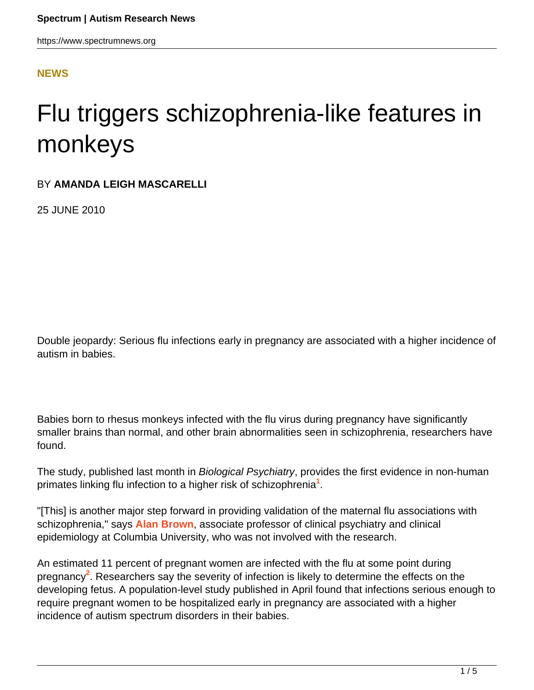#### **[NEWS](HTTPS://WWW.SPECTRUMNEWS.ORG/NEWS/)**

# Flu triggers schizophrenia-like features in monkeys

#### BY **AMANDA LEIGH MASCARELLI**

25 JUNE 2010

Double jeopardy: Serious flu infections early in pregnancy are associated with a higher incidence of autism in babies.

Babies born to rhesus monkeys infected with the flu virus during pregnancy have significantly smaller brains than normal, and other brain abnormalities seen in schizophrenia, researchers have found.

The study, published last month in *Biological Psychiatry*, provides the first evidence in non-human primates linking flu infection to a higher risk of schizophrenia**<sup>1</sup>** .

"[This] is another major step forward in providing validation of the maternal flu associations with schizophrenia," says **[Alan Brown](http://asp.cumc.columbia.edu/facdb/profile_list.asp?uni=asb11&DepAffil=Psychiatry)**, associate professor of clinical psychiatry and clinical epidemiology at Columbia University, who was not involved with the research.

An estimated 11 percent of pregnant women are infected with the flu at some point during pregnancy**<sup>2</sup>** . Researchers say the severity of infection is likely to determine the effects on the developing fetus. A population-level study published in April found that infections serious enough to require pregnant women to be hospitalized early in pregnancy are associated with a higher incidence of autism spectrum disorders in their babies.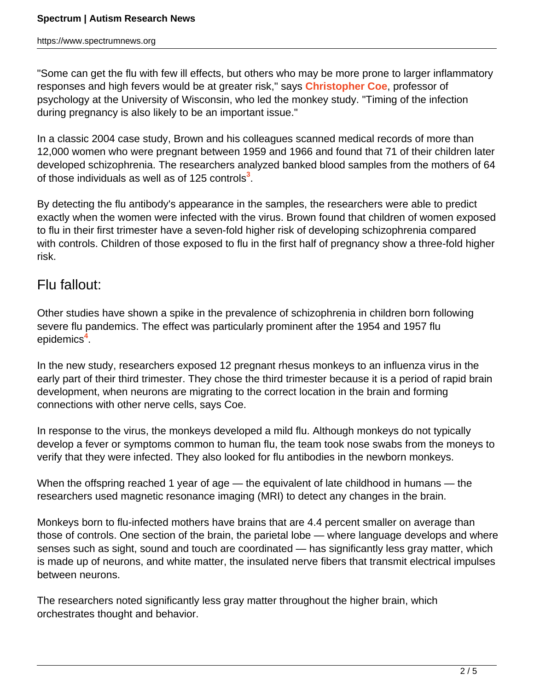"Some can get the flu with few ill effects, but others who may be more prone to larger inflammatory responses and high fevers would be at greater risk," says **[Christopher Coe](http://glial.psych.wisc.edu/index.php/psychsplashfacstaff/98)**, professor of psychology at the University of Wisconsin, who led the monkey study. "Timing of the infection during pregnancy is also likely to be an important issue."

In a classic 2004 case study, Brown and his colleagues scanned medical records of more than 12,000 women who were pregnant between 1959 and 1966 and found that 71 of their children later developed schizophrenia. The researchers analyzed banked blood samples from the mothers of 64 of those individuals as well as of 125 controls**<sup>3</sup>** .

By detecting the flu antibody's appearance in the samples, the researchers were able to predict exactly when the women were infected with the virus. Brown found that children of women exposed to flu in their first trimester have a seven-fold higher risk of developing schizophrenia compared with controls. Children of those exposed to flu in the first half of pregnancy show a three-fold higher risk.

## Flu fallout:

Other studies have shown a spike in the prevalence of schizophrenia in children born following severe flu pandemics. The effect was particularly prominent after the 1954 and 1957 flu epidemics**<sup>4</sup>** .

In the new study, researchers exposed 12 pregnant rhesus monkeys to an influenza virus in the early part of their third trimester. They chose the third trimester because it is a period of rapid brain development, when neurons are migrating to the correct location in the brain and forming connections with other nerve cells, says Coe.

In response to the virus, the monkeys developed a mild flu. Although monkeys do not typically develop a fever or symptoms common to human flu, the team took nose swabs from the moneys to verify that they were infected. They also looked for flu antibodies in the newborn monkeys.

When the offspring reached 1 year of age — the equivalent of late childhood in humans — the researchers used magnetic resonance imaging (MRI) to detect any changes in the brain.

Monkeys born to flu-infected mothers have brains that are 4.4 percent smaller on average than those of controls. One section of the brain, the parietal lobe — where language develops and where senses such as sight, sound and touch are coordinated — has significantly less gray matter, which is made up of neurons, and white matter, the insulated nerve fibers that transmit electrical impulses between neurons.

The researchers noted significantly less gray matter throughout the higher brain, which orchestrates thought and behavior.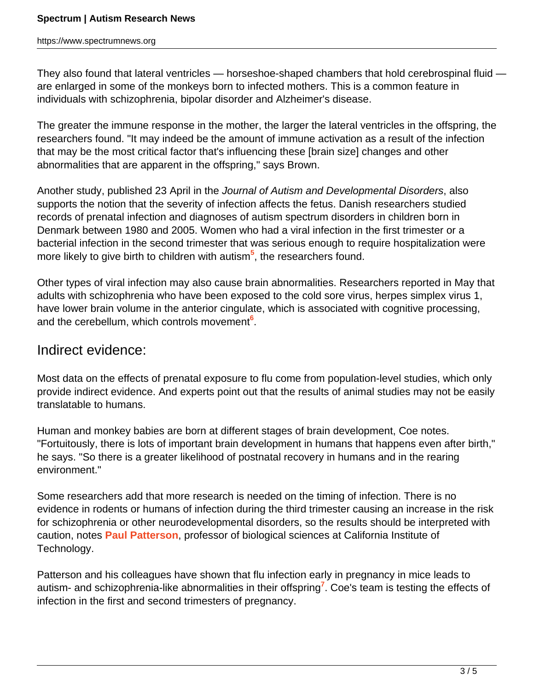They also found that lateral ventricles — horseshoe-shaped chambers that hold cerebrospinal fluid are enlarged in some of the monkeys born to infected mothers. This is a common feature in individuals with schizophrenia, bipolar disorder and Alzheimer's disease.

The greater the immune response in the mother, the larger the lateral ventricles in the offspring, the researchers found. "It may indeed be the amount of immune activation as a result of the infection that may be the most critical factor that's influencing these [brain size] changes and other abnormalities that are apparent in the offspring," says Brown.

Another study, published 23 April in the Journal of Autism and Developmental Disorders, also supports the notion that the severity of infection affects the fetus. Danish researchers studied records of prenatal infection and diagnoses of autism spectrum disorders in children born in Denmark between 1980 and 2005. Women who had a viral infection in the first trimester or a bacterial infection in the second trimester that was serious enough to require hospitalization were more likely to give birth to children with autism**<sup>5</sup>** , the researchers found.

Other types of viral infection may also cause brain abnormalities. Researchers reported in May that adults with schizophrenia who have been exposed to the cold sore virus, herpes simplex virus 1, have lower brain volume in the anterior cingulate, which is associated with cognitive processing, and the cerebellum, which controls movement**<sup>6</sup>** .

### Indirect evidence:

Most data on the effects of prenatal exposure to flu come from population-level studies, which only provide indirect evidence. And experts point out that the results of animal studies may not be easily translatable to humans.

Human and monkey babies are born at different stages of brain development, Coe notes. "Fortuitously, there is lots of important brain development in humans that happens even after birth," he says. "So there is a greater likelihood of postnatal recovery in humans and in the rearing environment."

Some researchers add that more research is needed on the timing of infection. There is no evidence in rodents or humans of infection during the third trimester causing an increase in the risk for schizophrenia or other neurodevelopmental disorders, so the results should be interpreted with caution, notes **[Paul Patterson](http://biology.caltech.edu/Members/Patterson)**, professor of biological sciences at California Institute of Technology.

Patterson and his colleagues have shown that flu infection early in pregnancy in mice leads to autism- and schizophrenia-like abnormalities in their offspring**<sup>7</sup>** . Coe's team is testing the effects of infection in the first and second trimesters of pregnancy.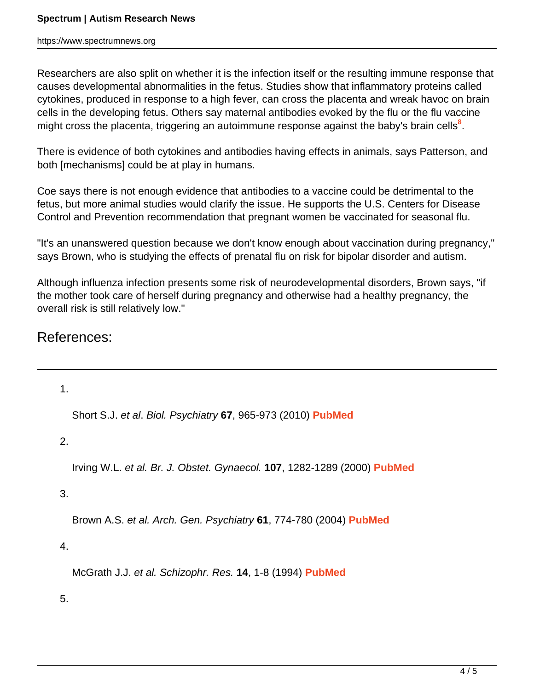https://www.spectrumnews.org

Researchers are also split on whether it is the infection itself or the resulting immune response that causes developmental abnormalities in the fetus. Studies show that inflammatory proteins called cytokines, produced in response to a high fever, can cross the placenta and wreak havoc on brain cells in the developing fetus. Others say maternal antibodies evoked by the flu or the flu vaccine might cross the placenta, triggering an autoimmune response against the baby's brain cells**<sup>8</sup>** .

There is evidence of both cytokines and antibodies having effects in animals, says Patterson, and both [mechanisms] could be at play in humans.

Coe says there is not enough evidence that antibodies to a vaccine could be detrimental to the fetus, but more animal studies would clarify the issue. He supports the U.S. Centers for Disease Control and Prevention recommendation that pregnant women be vaccinated for seasonal flu.

"It's an unanswered question because we don't know enough about vaccination during pregnancy," says Brown, who is studying the effects of prenatal flu on risk for bipolar disorder and autism.

Although influenza infection presents some risk of neurodevelopmental disorders, Brown says, "if the mother took care of herself during pregnancy and otherwise had a healthy pregnancy, the overall risk is still relatively low."

References:

1. Short S.J. et al. Biol. Psychiatry **67**, 965-973 (2010) **[PubMed](http://www.ncbi.nlm.nih.gov/pubmed/20079486)** 2. Irving W.L. et al. Br. J. Obstet. Gynaecol. **107**, 1282-1289 (2000) **[PubMed](http://www.ncbi.nlm.nih.gov/pubmed/11028582)** 3. Brown A.S. et al. Arch. Gen. Psychiatry **61**, 774-780 (2004) **[PubMed](http://www.ncbi.nlm.nih.gov/pubmed/15289276)** 4. McGrath J.J. et al. Schizophr. Res. **14**, 1-8 (1994) **[PubMed](http://www.ncbi.nlm.nih.gov/pubmed/7893616)** 5.